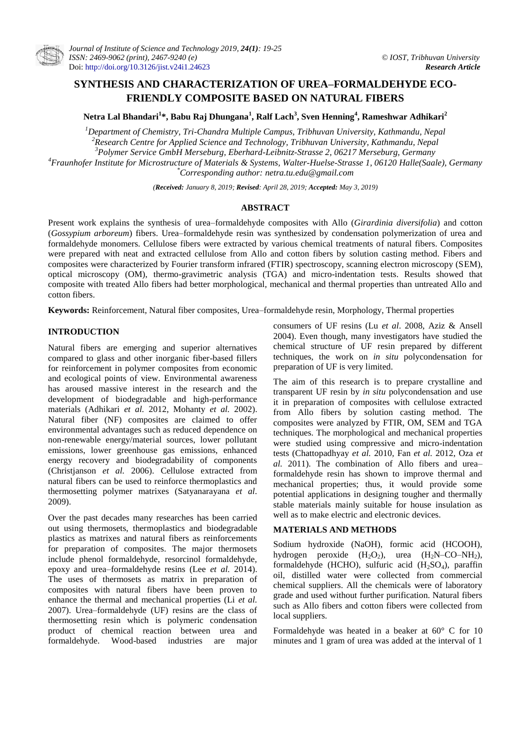# **SYNTHESIS AND CHARACTERIZATION OF UREA–FORMALDEHYDE ECO-FRIENDLY COMPOSITE BASED ON NATURAL FIBERS**

**Netra Lal Bhandari<sup>1</sup> \*, Babu Raj Dhungana<sup>1</sup> , Ralf Lach<sup>3</sup> , Sven Henning<sup>4</sup> , Rameshwar Adhikari<sup>2</sup>**

*Department of Chemistry, Tri-Chandra Multiple Campus, Tribhuvan University, Kathmandu, Nepal Research Centre for Applied Science and Technology, Tribhuvan University, Kathmandu, Nepal Polymer Service GmbH Merseburg, Eberhard-Leibnitz-Strasse 2, 06217 Merseburg, Germany Fraunhofer Institute for Microstructure of Materials & Systems, Walter-Huelse-Strasse 1, 06120 Halle(Saale), Germany \*Corresponding author: netra.tu.edu@gmail.com*

*(Received: January 8, 2019; Revised: April 28, 2019; Accepted: May 3, 2019)*

# **ABSTRACT**

Present work explains the synthesis of urea–formaldehyde composites with Allo (*Girardinia diversifolia*) and cotton (*Gossypium arboreum*) fibers. Urea–formaldehyde resin was synthesized by condensation polymerization of urea and formaldehyde monomers. Cellulose fibers were extracted by various chemical treatments of natural fibers. Composites were prepared with neat and extracted cellulose from Allo and cotton fibers by solution casting method. Fibers and composites were characterized by Fourier transform infrared (FTIR) spectroscopy, scanning electron microscopy (SEM), optical microscopy (OM), thermo-gravimetric analysis (TGA) and micro-indentation tests. Results showed that composite with treated Allo fibers had better morphological, mechanical and thermal properties than untreated Allo and cotton fibers.

**Keywords:** Reinforcement, Natural fiber composites, Urea–formaldehyde resin, Morphology, Thermal properties

# **INTRODUCTION**

Natural fibers are emerging and superior alternatives compared to glass and other inorganic fiber-based fillers for reinforcement in polymer composites from economic and ecological points of view. Environmental awareness has aroused massive interest in the research and the development of biodegradable and high-performance materials (Adhikari *et al.* 2012, Mohanty *et al.* 2002). Natural fiber (NF) composites are claimed to offer environmental advantages such as reduced dependence on non-renewable energy/material sources, lower pollutant emissions, lower greenhouse gas emissions, enhanced energy recovery and biodegradability of components (Christjanson *et al.* 2006). Cellulose extracted from natural fibers can be used to reinforce thermoplastics and thermosetting polymer matrixes (Satyanarayana *et al*. 2009).

Over the past decades many researches has been carried out using thermosets, thermoplastics and biodegradable plastics as matrixes and natural fibers as reinforcements for preparation of composites. The major thermosets include phenol formaldehyde, resorcinol formaldehyde, epoxy and urea–formaldehyde resins (Lee *et al.* 2014). The uses of thermosets as matrix in preparation of composites with natural fibers have been proven to enhance the thermal and mechanical properties (Li *et al.* 2007). Urea–formaldehyde (UF) resins are the class of thermosetting resin which is polymeric condensation product of chemical reaction between urea and formaldehyde. Wood-based industries are major

consumers of UF resins (Lu *et al*. 2008, Aziz & Ansell 2004). Even though, many investigators have studied the chemical structure of UF resin prepared by different techniques, the work on *in situ* polycondensation for preparation of UF is very limited.

The aim of this research is to prepare crystalline and transparent UF resin by *in situ* polycondensation and use it in preparation of composites with cellulose extracted from Allo fibers by solution casting method. The composites were analyzed by FTIR, OM, SEM and TGA techniques. The morphological and mechanical properties were studied using compressive and micro-indentation tests (Chattopadhyay *et al.* 2010*,* Fan *et al.* 2012, Oza *et al.* 2011). The combination of Allo fibers and urea– formaldehyde resin has shown to improve thermal and mechanical properties; thus, it would provide some potential applications in designing tougher and thermally stable materials mainly suitable for house insulation as well as to make electric and electronic devices.

## **MATERIALS AND METHODS**

Sodium hydroxide (NaOH), formic acid (HCOOH), hydrogen peroxide  $(H_2O_2)$ , urea  $(H_2N-CO-NH_2)$ , formaldehyde (HCHO), sulfuric acid  $(H_2SO_4)$ , paraffin oil, distilled water were collected from commercial chemical suppliers. All the chemicals were of laboratory grade and used without further purification. Natural fibers such as Allo fibers and cotton fibers were collected from local suppliers.

Formaldehyde was heated in a beaker at 60° C for 10 minutes and 1 gram of urea was added at the interval of 1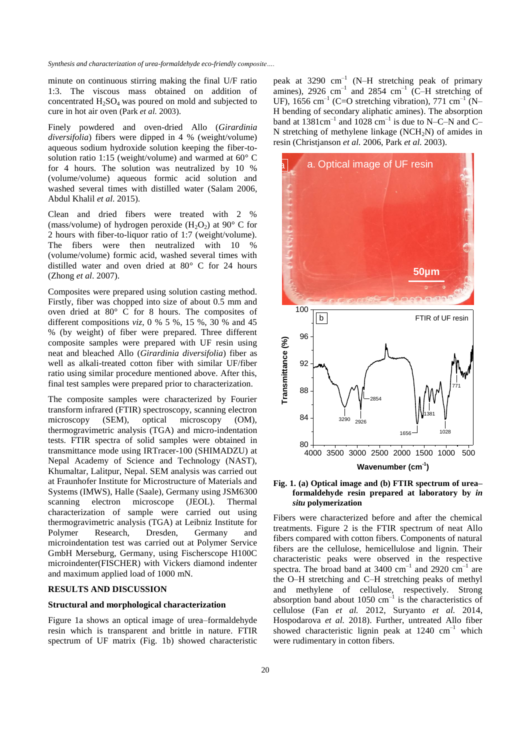minute on continuous stirring making the final U/F ratio 1:3. The viscous mass obtained on addition of concentrated  $H_2SO_4$  was poured on mold and subjected to cure in hot air oven (Park *et al.* 2003).

Finely powdered and oven-dried Allo (*Girardinia diversifolia*) fibers were dipped in 4 % (weight/volume) aqueous sodium hydroxide solution keeping the fiber-tosolution ratio 1:15 (weight/volume) and warmed at 60° C for 4 hours. The solution was neutralized by 10 % (volume/volume) aqueous formic acid solution and washed several times with distilled water (Salam 2006, Abdul Khalil *et al*. 2015).

Clean and dried fibers were treated with 2 % (mass/volume) of hydrogen peroxide  $(H_2O_2)$  at 90 $\degree$  C for 2 hours with fiber-to-liquor ratio of 1:7 (weight/volume). The fibers were then neutralized with 10 % (volume/volume) formic acid, washed several times with distilled water and oven dried at 80° C for 24 hours (Zhong *et al*. 2007).

Composites were prepared using solution casting method. Firstly, fiber was chopped into size of about 0.5 mm and oven dried at 80° C for 8 hours. The composites of different compositions *viz*, 0 % 5 %, 15 %, 30 % and 45 % (by weight) of fiber were prepared. Three different composite samples were prepared with UF resin using neat and bleached Allo (*Girardinia diversifolia*) fiber as well as alkali-treated cotton fiber with similar UF/fiber ratio using similar procedure mentioned above. After this, final test samples were prepared prior to characterization.

The composite samples were characterized by Fourier transform infrared (FTIR) spectroscopy, scanning electron microscopy (SEM), optical microscopy (OM), thermogravimetric analysis (TGA) and micro-indentation tests. FTIR spectra of solid samples were obtained in transmittance mode using IRTracer-100 (SHIMADZU) at Nepal Academy of Science and Technology (NAST), Khumaltar, Lalitpur, Nepal. SEM analysis was carried out at Fraunhofer Institute for Microstructure of Materials and Systems (IMWS), Halle (Saale), Germany using JSM6300 scanning electron microscope (JEOL). Thermal characterization of sample were carried out using thermogravimetric analysis (TGA) at Leibniz Institute for Polymer Research, Dresden, Germany and microindentation test was carried out at Polymer Service GmbH Merseburg, Germany, using Fischerscope H100C microindenter(FISCHER) with Vickers diamond indenter and maximum applied load of 1000 mN.

### **RESULTS AND DISCUSSION**

### **Structural and morphological characterization**

Figure 1a shows an optical image of urea–formaldehyde resin which is transparent and brittle in nature. FTIR spectrum of UF matrix (Fig. 1b) showed characteristic

peak at 3290  $cm^{-1}$  (N-H stretching peak of primary amines), 2926 cm<sup>-1</sup> and 2854 cm<sup>-1</sup> (C-H stretching of UF), 1656 cm<sup>-1</sup> (C=O stretching vibration), 771 cm<sup>-1</sup> (N-H bending of secondary aliphatic amines). The absorption band at  $1381 \text{cm}^{-1}$  and  $1028 \text{cm}^{-1}$  is due to N–C–N and C– N stretching of methylene linkage (NCH<sub>2</sub>N) of amides in resin (Christjanson *et al.* 2006, Park *et al.* 2003).



## **Fig. 1. (a) Optical image and (b) FTIR spectrum of urea– formaldehyde resin prepared at laboratory by** *in situ* **polymerization**

Fibers were characterized before and after the chemical treatments. Figure 2 is the FTIR spectrum of neat Allo fibers compared with cotton fibers. Components of natural fibers are the cellulose, hemicellulose and lignin. Their characteristic peaks were observed in the respective spectra. The broad band at  $3400 \text{ cm}^{-1}$  and  $2920 \text{ cm}^{-1}$  are the O–H stretching and C–H stretching peaks of methyl and methylene of cellulose, respectively. Strong absorption band about  $1050 \text{ cm}^{-1}$  is the characteristics of cellulose (Fan *et al.* 2012, Suryanto *et al.* 2014, Hospodarova *et al.* 2018). Further, untreated Allo fiber showed characteristic lignin peak at  $1240 \text{ cm}^{-1}$  which were rudimentary in cotton fibers.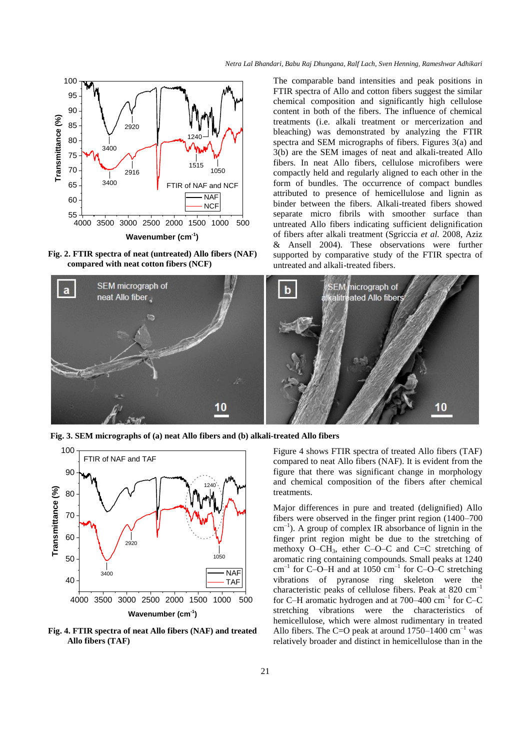

**Fig. 2. FTIR spectra of neat (untreated) Allo fibers (NAF) compared with neat cotton fibers (NCF)**

1050 compactly held and regularly aligned to each other in the The comparable band intensities and peak positions in FTIR spectra of Allo and cotton fibers suggest the similar chemical composition and significantly high cellulose content in both of the fibers. The influence of chemical treatments (i.e. alkali treatment or mercerization and bleaching) was demonstrated by analyzing the FTIR spectra and SEM micrographs of fibers. Figures 3(a) and 3(b) are the SEM images of neat and alkali-treated Allo fibers. In neat Allo fibers, cellulose microfibers were form of bundles. The occurrence of compact bundles attributed to presence of hemicellulose and lignin as binder between the fibers. Alkali-treated fibers showed separate micro fibrils with smoother surface than untreated Allo fibers indicating sufficient delignification of fibers after alkali treatment (Sgriccia *et al.* 2008, Aziz & Ansell 2004). These observations were further supported by comparative study of the FTIR spectra of untreated and alkali-treated fibers.



**Fig. 3. SEM micrographs of (a) neat Allo fibers and (b) alkali-treated Allo fibers**



**Fig. 4. FTIR spectra of neat Allo fibers (NAF) and treated Allo fibers (TAF)**

Figure 4 shows FTIR spectra of treated Allo fibers (TAF) compared to neat Allo fibers (NAF). It is evident from the figure that there was significant change in morphology and chemical composition of the fibers after chemical treatments.

 $\overline{NAF}$  cm<sup>-1</sup> for C–O–H and at 1050 cm<sup>-1</sup> for C–O–C stretching TAF vibrations of pyranose ring skeleton were the Major differences in pure and treated (delignified) Allo fibers were observed in the finger print region (1400–700 cm<sup>-1</sup>). A group of complex IR absorbance of lignin in the finger print region might be due to the stretching of methoxy O–CH3, ether C–O–C and C=C stretching of aromatic ring containing compounds. Small peaks at 1240 characteristic peaks of cellulose fibers. Peak at 820 cm–1 for C–H aromatic hydrogen and at 700–400 cm<sup>-1</sup> for C–C stretching vibrations were the characteristics of hemicellulose, which were almost rudimentary in treated Allo fibers. The C=O peak at around  $1750-1400$  cm<sup>-1</sup> was relatively broader and distinct in hemicellulose than in the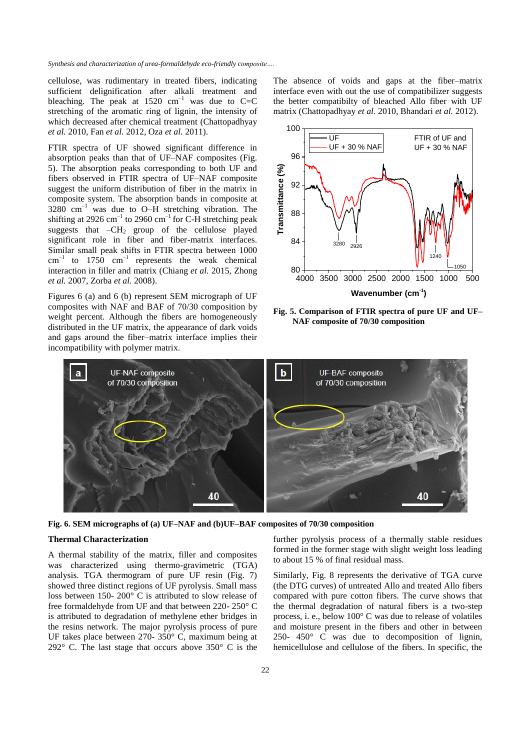cellulose, was rudimentary in treated fibers, indicating sufficient delignification after alkali treatment and bleaching. The peak at 1520  $cm^{-1}$  was due to C=C stretching of the aromatic ring of lignin, the intensity of which decreased after chemical treatment (Chattopadhyay *et al.* 2010, Fan *et al.* 2012, Oza *et al.* 2011).

FTIR spectra of UF showed significant difference in absorption peaks than that of UF–NAF composites (Fig. 5). The absorption peaks corresponding to both UF and fibers observed in FTIR spectra of UF–NAF composite suggest the uniform distribution of fiber in the matrix in composite system. The absorption bands in composite at  $3280$  cm<sup>-1</sup> was due to O–H stretching vibration. The shifting at 2926  $\text{cm}^{-1}$  to 2960  $\text{cm}^{-1}$  for C-H stretching peak suggests that  $-CH_2$  group of the cellulose played significant role in fiber and fiber-matrix interfaces. Similar small peak shifts in FTIR spectra between 1000  $cm^{-1}$  to 1750  $cm^{-1}$  represents the weak chemical interaction in filler and matrix (Chiang *et al.* 2015, Zhong *et al.* 2007, Zorba *et al.* 2008).

Figures 6 (a) and 6 (b) represent SEM micrograph of UF composites with NAF and BAF of 70/30 composition by weight percent. Although the fibers are homogeneously distributed in the UF matrix, the appearance of dark voids and gaps around the fiber–matrix interface implies their incompatibility with polymer matrix.

The absence of voids and gaps at the fiber–matrix interface even with out the use of compatibilizer suggests the better compatibilty of bleached Allo fiber with UF matrix (Chattopadhyay *et al.* 2010, Bhandari *et al.* 2012).



**Fig. 5. Comparison of FTIR spectra of pure UF and UF– NAF composite of 70/30 composition**





#### **Thermal Characterization**

A thermal stability of the matrix, filler and composites was characterized using thermo-gravimetric (TGA) analysis. TGA thermogram of pure UF resin (Fig. 7) showed three distinct regions of UF pyrolysis. Small mass loss between 150- 200° C is attributed to slow release of free formaldehyde from UF and that between 220- 250° C is attributed to degradation of methylene ether bridges in the resins network. The major pyrolysis process of pure UF takes place between 270- 350° C, maximum being at 292 $\degree$  C. The last stage that occurs above 350 $\degree$  C is the further pyrolysis process of a thermally stable residues formed in the former stage with slight weight loss leading to about 15 % of final residual mass.

Similarly, Fig. 8 represents the derivative of TGA curve (the DTG curves) of untreated Allo and treated Allo fibers compared with pure cotton fibers. The curve shows that the thermal degradation of natural fibers is a two-step process, i. e., below 100° C was due to release of volatiles and moisture present in the fibers and other in between 250- 450° C was due to decomposition of lignin, hemicellulose and cellulose of the fibers. In specific, the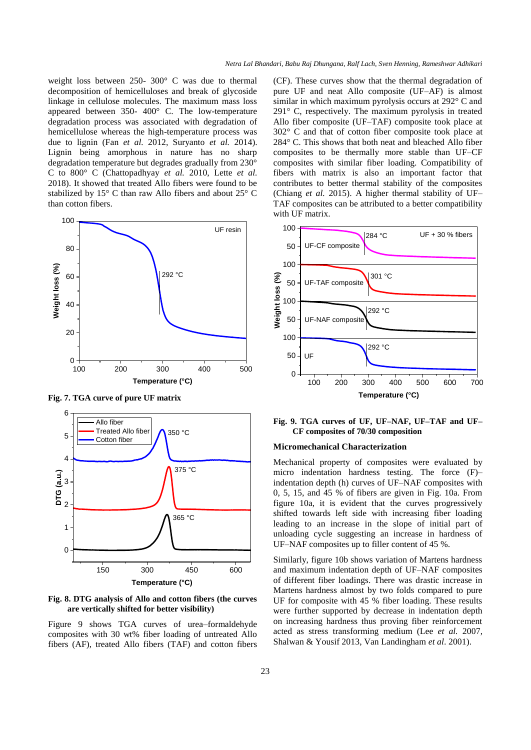weight loss between 250- 300° C was due to thermal decomposition of hemicelluloses and break of glycoside linkage in cellulose molecules. The maximum mass loss appeared between 350- 400° C. The low-temperature degradation process was associated with degradation of hemicellulose whereas the high-temperature process was due to lignin (Fan *et al.* 2012, Suryanto *et al.* 2014). Lignin being amorphous in nature has no sharp degradation temperature but degrades gradually from 230° C to 800° C (Chattopadhyay *et al.* 2010, Lette *et al.* 2018). It showed that treated Allo fibers were found to be stabilized by 15° C than raw Allo fibers and about 25° C than cotton fibers.



**Fig. 7. TGA curve of pure UF matrix**



**Fig. 8. DTG analysis of Allo and cotton fibers (the curves are vertically shifted for better visibility)**

Figure 9 shows TGA curves of urea–formaldehyde composites with 30 wt% fiber loading of untreated Allo fibers (AF), treated Allo fibers (TAF) and cotton fibers

(CF). These curves show that the thermal degradation of pure UF and neat Allo composite (UF–AF) is almost similar in which maximum pyrolysis occurs at 292° C and 291° C, respectively. The maximum pyrolysis in treated Allo fiber composite (UF–TAF) composite took place at 302° C and that of cotton fiber composite took place at 284° C. This shows that both neat and bleached Allo fiber composites to be thermally more stable than UF–CF composites with similar fiber loading. Compatibility of fibers with matrix is also an important factor that contributes to better thermal stability of the composites (Chiang *et al.* 2015). A higher thermal stability of UF– TAF composites can be attributed to a better compatibility with UF matrix.



**Fig. 9. TGA curves of UF, UF–NAF, UF–TAF and UF– CF composites of 70/30 composition**

#### **Micromechanical Characterization**

Mechanical property of composites were evaluated by micro indentation hardness testing. The force (F)– indentation depth (h) curves of UF–NAF composites with 0, 5, 15, and 45 % of fibers are given in Fig. 10a. From figure 10a, it is evident that the curves progressively shifted towards left side with increasing fiber loading leading to an increase in the slope of initial part of unloading cycle suggesting an increase in hardness of UF–NAF composites up to filler content of 45 %.

150 300 450 600 and maximum indentation depth of UF–NAF composites Similarly, figure 10b shows variation of Martens hardness of different fiber loadings. There was drastic increase in Martens hardness almost by two folds compared to pure UF for composite with 45 % fiber loading. These results were further supported by decrease in indentation depth on increasing hardness thus proving fiber reinforcement acted as stress transforming medium (Lee *et al.* 2007, Shalwan & Yousif 2013, Van Landingham *et al*. 2001).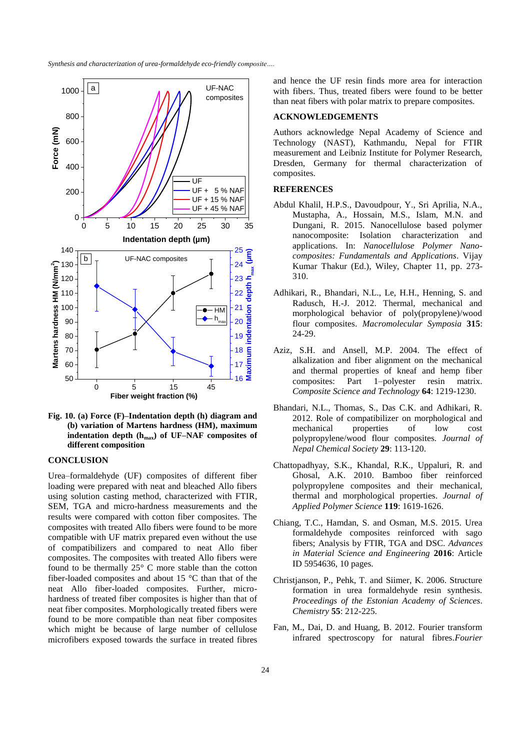*Synthesis and characterization of urea-formaldehyde eco-friendly composite….*



**Fig. 10. (a) Force (F)–Indentation depth (h) diagram and (b) variation of Martens hardness (HM), maximum indentation depth (hmax) of UF–NAF composites of different composition**

### **CONCLUSION**

Urea–formaldehyde (UF) composites of different fiber loading were prepared with neat and bleached Allo fibers using solution casting method, characterized with FTIR, SEM, TGA and micro-hardness measurements and the results were compared with cotton fiber composites. The composites with treated Allo fibers were found to be more compatible with UF matrix prepared even without the use of compatibilizers and compared to neat Allo fiber composites. The composites with treated Allo fibers were found to be thermally 25° C more stable than the cotton fiber-loaded composites and about 15 °C than that of the neat Allo fiber-loaded composites. Further, microhardness of treated fiber composites is higher than that of neat fiber composites. Morphologically treated fibers were found to be more compatible than neat fiber composites which might be because of large number of cellulose microfibers exposed towards the surface in treated fibres

UF-NAC with fibers. Thus, treated fibers were found to be better and hence the UF resin finds more area for interaction than neat fibers with polar matrix to prepare composites.

# **ACKNOWLEDGEMENTS**

Authors acknowledge Nepal Academy of Science and Technology (NAST), Kathmandu, Nepal for FTIR measurement and Leibniz Institute for Polymer Research, Dresden, Germany for thermal characterization of composites.

#### **REFERENCES**

- 0 5 10 15 20 25 30 35 Dungani, R. 2015. Nanocellulose based polymer  $23 \frac{e^2}{2}$  310.  $24 \frac{Q}{g}$  Kumar Thakur (Ed.), Wiley, Chapter 11, pp. 273-25 applications. In: *Nanocellulose Polymer Nano-*Abdul Khalil, H.P.S., Davoudpour, Y., Sri Aprilia, N.A., Mustapha, A., Hossain, M.S., Islam, M.N. and nanocomposite: Isolation characterization and *composites: Fundamentals and Applications*. Vijay
	- $\text{HMI}$   $\left| \begin{matrix} 2 \\ 0 \end{matrix} \right|$  = morphological behavior of poly(propylene)/wood  $19\frac{9}{2}$  24-29. 20 flour composites. *Macromolecular Symposia* **315**: 21 Radusch, H.-J. 2012. Thermal, mechanical and 22 Adhikari, R., Bhandari, N.L., Le, H.H., Henning, S. and
		- $\frac{16}{16}$  and thermal<br>composites: 17. alkalization and fiber alignment on the mechanical 18 **E** Aziz, S.H. and Ansell, M.P. 2004. The effect of and thermal properties of kneaf and hemp fiber Part 1–polyester resin matrix. *Composite Science and Technology* **64**: 1219-1230.
			- Bhandari, N.L., Thomas, S., Das C.K. and Adhikari, R. 2012. Role of compatibilizer on morphological and mechanical properties of low cost polypropylene/wood flour composites. *Journal of Nepal Chemical Society* **29**: 113-120.
			- Chattopadhyay, S.K., Khandal, R.K., Uppaluri, R. and Ghosal, A.K. 2010. Bamboo fiber reinforced polypropylene composites and their mechanical, thermal and morphological properties. *Journal of Applied Polymer Science* **119**: 1619-1626.
			- Chiang, T.C., Hamdan, S. and Osman, M.S. 2015. Urea formaldehyde composites reinforced with sago fibers; Analysis by FTIR, TGA and DSC. *Advances in Material Science and Engineering* **2016**: Article ID 5954636, 10 pages.
			- Christjanson, P., Pehk, T. and Siimer, K. 2006. Structure formation in urea formaldehyde resin synthesis. *Proceedings of the Estonian Academy of Sciences*. *Chemistry* **55**: 212-225.
			- Fan, M., Dai, D. and Huang, B. 2012. Fourier transform infrared spectroscopy for natural fibres*.Fourier*